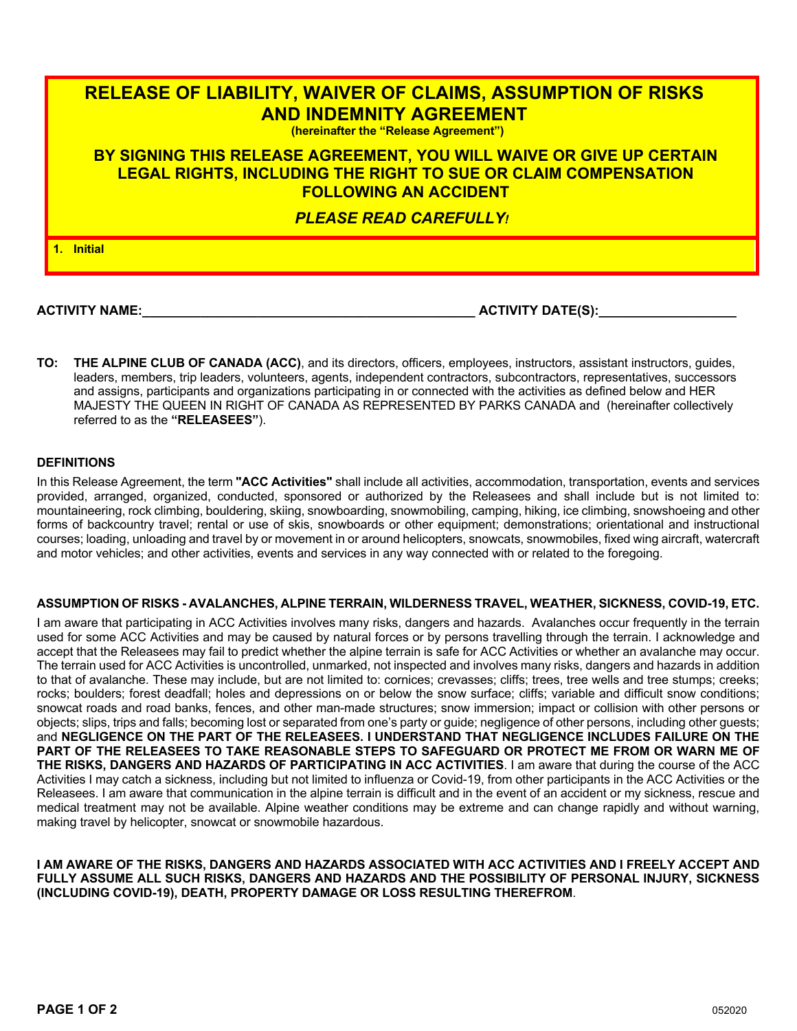# **RELEASE OF LIABILITY, WAIVER OF CLAIMS, ASSUMPTION OF RISKS AND INDEMNITY AGREEMENT (hereinafter the "Release Agreement")**

## **BY SIGNING THIS RELEASE AGREEMENT, YOU WILL WAIVE OR GIVE UP CERTAIN LEGAL RIGHTS, INCLUDING THE RIGHT TO SUE OR CLAIM COMPENSATION FOLLOWING AN ACCIDENT**

### *PLEASE READ CAREFULLY!*

**1. Initial**

**ACTIVITY NAME:\_\_\_\_\_\_\_\_\_\_\_\_\_\_\_\_\_\_\_\_\_\_\_\_\_\_\_\_\_\_\_\_\_\_\_\_\_\_\_\_\_\_\_\_\_\_ ACTIVITY DATE(S):\_\_\_\_\_\_\_\_\_\_\_\_\_\_\_\_\_\_\_**

**TO: THE ALPINE CLUB OF CANADA (ACC)**, and its directors, officers, employees, instructors, assistant instructors, guides, leaders, members, trip leaders, volunteers, agents, independent contractors, subcontractors, representatives, successors and assigns, participants and organizations participating in or connected with the activities as defined below and HER MAJESTY THE QUEEN IN RIGHT OF CANADA AS REPRESENTED BY PARKS CANADA and (hereinafter collectively referred to as the **"RELEASEES"**).

#### **DEFINITIONS**

In this Release Agreement, the term **"ACC Activities"** shall include all activities, accommodation, transportation, events and services provided, arranged, organized, conducted, sponsored or authorized by the Releasees and shall include but is not limited to: mountaineering, rock climbing, bouldering, skiing, snowboarding, snowmobiling, camping, hiking, ice climbing, snowshoeing and other forms of backcountry travel; rental or use of skis, snowboards or other equipment; demonstrations; orientational and instructional courses; loading, unloading and travel by or movement in or around helicopters, snowcats, snowmobiles, fixed wing aircraft, watercraft and motor vehicles; and other activities, events and services in any way connected with or related to the foregoing.

#### **ASSUMPTION OF RISKS - AVALANCHES, ALPINE TERRAIN, WILDERNESS TRAVEL, WEATHER, SICKNESS, COVID-19, ETC.**

I am aware that participating in ACC Activities involves many risks, dangers and hazards. Avalanches occur frequently in the terrain used for some ACC Activities and may be caused by natural forces or by persons travelling through the terrain. I acknowledge and accept that the Releasees may fail to predict whether the alpine terrain is safe for ACC Activities or whether an avalanche may occur. The terrain used for ACC Activities is uncontrolled, unmarked, not inspected and involves many risks, dangers and hazards in addition to that of avalanche. These may include, but are not limited to: cornices; crevasses; cliffs; trees, tree wells and tree stumps; creeks; rocks; boulders; forest deadfall; holes and depressions on or below the snow surface; cliffs; variable and difficult snow conditions; snowcat roads and road banks, fences, and other man-made structures; snow immersion; impact or collision with other persons or objects; slips, trips and falls; becoming lost or separated from one's party or guide; negligence of other persons, including other guests; and **NEGLIGENCE ON THE PART OF THE RELEASEES. I UNDERSTAND THAT NEGLIGENCE INCLUDES FAILURE ON THE PART OF THE RELEASEES TO TAKE REASONABLE STEPS TO SAFEGUARD OR PROTECT ME FROM OR WARN ME OF THE RISKS, DANGERS AND HAZARDS OF PARTICIPATING IN ACC ACTIVITIES**. I am aware that during the course of the ACC Activities I may catch a sickness, including but not limited to influenza or Covid-19, from other participants in the ACC Activities or the Releasees. I am aware that communication in the alpine terrain is difficult and in the event of an accident or my sickness, rescue and medical treatment may not be available. Alpine weather conditions may be extreme and can change rapidly and without warning, making travel by helicopter, snowcat or snowmobile hazardous.

**I AM AWARE OF THE RISKS, DANGERS AND HAZARDS ASSOCIATED WITH ACC ACTIVITIES AND I FREELY ACCEPT AND FULLY ASSUME ALL SUCH RISKS, DANGERS AND HAZARDS AND THE POSSIBILITY OF PERSONAL INJURY, SICKNESS (INCLUDING COVID-19), DEATH, PROPERTY DAMAGE OR LOSS RESULTING THEREFROM**.